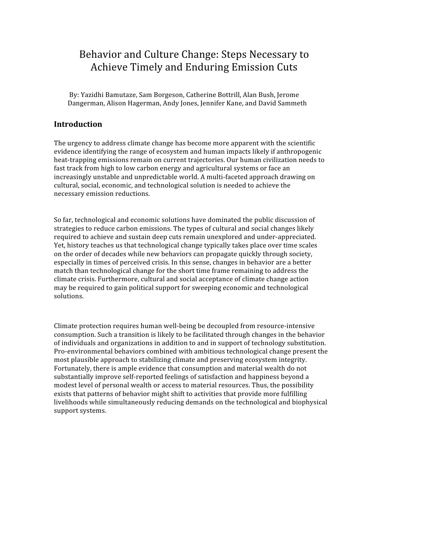# Behavior and Culture Change: Steps Necessary to Achieve Timely and Enduring Emission Cuts

 By: Yazidhi Bamutaze, Sam Borgeson, Catherine Bottrill, Alan Bush, Jerome Dangerman, Alison Hagerman, Andy Jones, Jennifer Kane, and David Sammeth

## **Introduction**

The urgency to address climate change has become more apparent with the scientific evidence identifying the range of ecosystem and human impacts likely if anthropogenic heat-trapping emissions remain on current trajectories. Our human civilization needs to fast track from high to low carbon energy and agricultural systems or face an increasingly unstable and unpredictable world. A multi-faceted approach drawing on cultural, social, economic, and technological solution is needed to achieve the necessary emission reductions.

So far, technological and economic solutions have dominated the public discussion of strategies to reduce carbon emissions. The types of cultural and social changes likely required to achieve and sustain deep cuts remain unexplored and under‐appreciated. Yet, history teaches us that technological change typically takes place over time scales on the order of decades while new behaviors can propagate quickly through society, especially in times of perceived crisis. In this sense, changes in behavior are a better match than technological change for the short time frame remaining to address the climate crisis. Furthermore, cultural and social acceptance of climate change action may be required to gain political support for sweeping economic and technological solutions.

Climate protection requires human well‐being be decoupled from resource‐intensive consumption. Such a transition is likely to be facilitated through changes in the behavior of individuals and organizations in addition to and in support of technology substitution. Pro‐environmental behaviors combined with ambitious technological change present the most plausible approach to stabilizing climate and preserving ecosystem integrity. Fortunately, there is ample evidence that consumption and material wealth do not substantially improve self‐reported feelings of satisfaction and happiness beyond a modest level of personal wealth or access to material resources. Thus, the possibility exists that patterns of behavior might shift to activities that provide more fulfilling livelihoods while simultaneously reducing demands on the technological and biophysical support systems.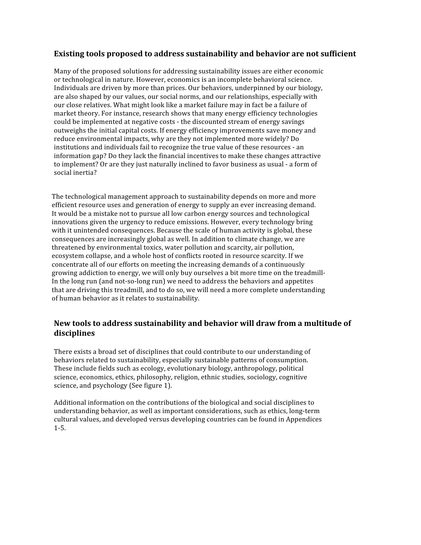# **Existing tools proposed to address sustainability and behavior are not sufficient**

Many of the proposed solutions for addressing sustainability issues are either economic or technological in nature. However, economics is an incomplete behavioral science. Individuals are driven by more than prices. Our behaviors, underpinned by our biology, are also shaped by our values, our social norms, and our relationships, especially with our close relatives. What might look like a market failure may in fact be a failure of market theory. For instance, research shows that many energy efficiency technologies could be implemented at negative costs ‐ the discounted stream of energy savings outweighs the initial capital costs. If energy efficiency improvements save money and reduce environmental impacts, why are they not implemented more widely? Do institutions and individuals fail to recognize the true value of these resources ‐ an information gap? Do they lack the financial incentives to make these changes attractive to implement? Or are they just naturally inclined to favor business as usual ‐ a form of social inertia?

The technological management approach to sustainability depends on more and more efficient resource uses and generation of energy to supply an ever increasing demand. It would be a mistake not to pursue all low carbon energy sources and technological innovations given the urgency to reduce emissions. However, every technology bring with it unintended consequences. Because the scale of human activity is global, these consequences are increasingly global as well. In addition to climate change, we are threatened by environmental toxics, water pollution and scarcity, air pollution, ecosystem collapse, and a whole host of conflicts rooted in resource scarcity. If we concentrate all of our efforts on meeting the increasing demands of a continuously growing addiction to energy, we will only buy ourselves a bit more time on the treadmill‐ In the long run (and not-so-long run) we need to address the behaviors and appetites that are driving this treadmill, and to do so, we will need a more complete understanding of human behavior as it relates to sustainability.

# **New tools to address sustainability and behavior will draw from a multitude of disciplines**

There exists a broad set of disciplines that could contribute to our understanding of behaviors related to sustainability, especially sustainable patterns of consumption. These include fields such as ecology, evolutionary biology, anthropology, political science, economics, ethics, philosophy, religion, ethnic studies, sociology, cognitive science, and psychology (See figure 1).

Additional information on the contributions of the biological and social disciplines to understanding behavior, as well as important considerations, such as ethics, long‐term cultural values, and developed versus developing countries can be found in Appendices 1‐5.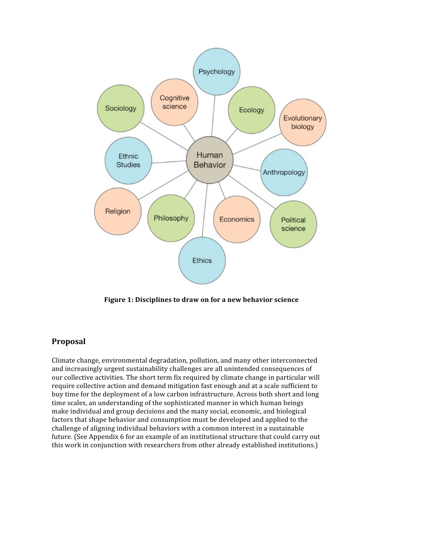

**Figure 1: Disciplines to draw on for a new behavior science**

### **Proposal**

Climate change, environmental degradation, pollution, and many other interconnected and increasingly urgent sustainability challenges are all unintended consequences of our collective activities. The short term fix required by climate change in particular will require collective action and demand mitigation fast enough and at a scale sufficient to buy time for the deployment of a low carbon infrastructure. Across both short and long time scales, an understanding of the sophisticated manner in which human beings make individual and group decisions and the many social, economic, and biological factors that shape behavior and consumption must be developed and applied to the challenge of aligning individual behaviors with a common interest in a sustainable future. (See Appendix 6 for an example of an institutional structure that could carry out this work in conjunction with researchers from other already established institutions.)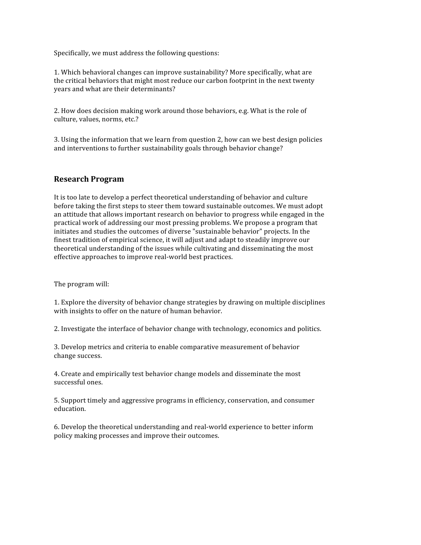Specifically, we must address the following questions:

1. Which behavioral changes can improve sustainability? More specifically, what are the critical behaviors that might most reduce our carbon footprint in the next twenty years and what are their determinants?

2. How does decision making work around those behaviors, e.g. What is the role of culture, values, norms, etc.?

3. Using the information that we learn from question 2, how can we best design policies and interventions to further sustainability goals through behavior change?

### **Research Program**

It is too late to develop a perfect theoretical understanding of behavior and culture before taking the first steps to steer them toward sustainable outcomes. We must adopt an attitude that allows important research on behavior to progress while engaged in the practical work of addressing our most pressing problems. We propose a program that initiates and studies the outcomes of diverse "sustainable behavior" projects. In the finest tradition of empirical science, it will adjust and adapt to steadily improve our theoretical understanding of the issues while cultivating and disseminating the most effective approaches to improve real‐world best practices.

The program will:

1. Explore the diversity of behavior change strategies by drawing on multiple disciplines with insights to offer on the nature of human behavior.

2. Investigate the interface of behavior change with technology, economics and politics.

3. Develop metrics and criteria to enable comparative measurement of behavior change success.

4. Create and empirically test behavior change models and disseminate the most successful ones.

5. Support timely and aggressive programs in efficiency, conservation, and consumer education.

6. Develop the theoretical understanding and real‐world experience to better inform policy making processes and improve their outcomes.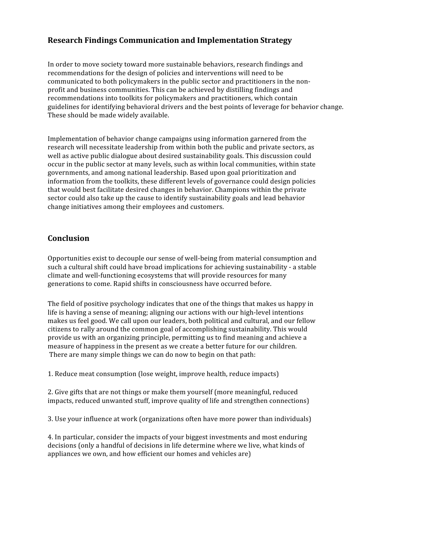# **Research Findings Communication and Implementation Strategy**

In order to move society toward more sustainable behaviors, research findings and recommendations for the design of policies and interventions will need to be communicated to both policymakers in the public sector and practitioners in the non‐ profit and business communities. This can be achieved by distilling findings and recommendations into toolkits for policymakers and practitioners, which contain guidelines for identifying behavioral drivers and the best points of leverage for behavior change. These should be made widely available.

Implementation of behavior change campaigns using information garnered from the research will necessitate leadership from within both the public and private sectors, as well as active public dialogue about desired sustainability goals. This discussion could occur in the public sector at many levels, such as within local communities, within state governments, and among national leadership. Based upon goal prioritization and information from the toolkits, these different levels of governance could design policies that would best facilitate desired changes in behavior. Champions within the private sector could also take up the cause to identify sustainability goals and lead behavior change initiatives among their employees and customers.

# **Conclusion**

Opportunities exist to decouple our sense of well‐being from material consumption and such a cultural shift could have broad implications for achieving sustainability ‐ a stable climate and well‐functioning ecosystems that will provide resources for many generations to come. Rapid shifts in consciousness have occurred before.

The field of positive psychology indicates that one of the things that makes us happy in life is having a sense of meaning; aligning our actions with our high‐level intentions makes us feel good. We call upon our leaders, both political and cultural, and our fellow citizens to rally around the common goal of accomplishing sustainability. This would provide us with an organizing principle, permitting us to find meaning and achieve a measure of happiness in the present as we create a better future for our children. There are many simple things we can do now to begin on that path:

1. Reduce meat consumption (lose weight, improve health, reduce impacts)

2. Give gifts that are not things or make them yourself (more meaningful, reduced impacts, reduced unwanted stuff, improve quality of life and strengthen connections)

3. Use your influence at work (organizations often have more power than individuals)

4. In particular, consider the impacts of your biggest investments and most enduring decisions (only a handful of decisions in life determine where we live, what kinds of appliances we own, and how efficient our homes and vehicles are)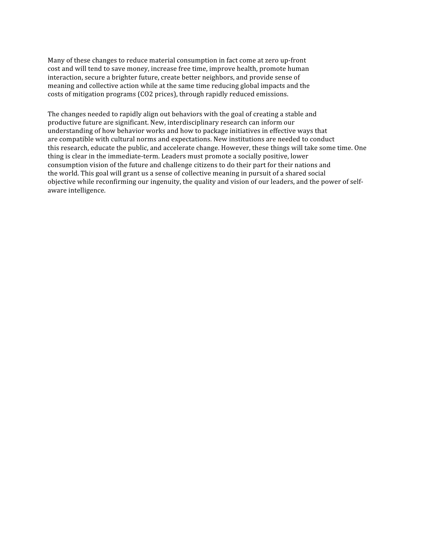Many of these changes to reduce material consumption in fact come at zero up-front cost and will tend to save money, increase free time, improve health, promote human interaction, secure a brighter future, create better neighbors, and provide sense of meaning and collective action while at the same time reducing global impacts and the costs of mitigation programs (CO2 prices), through rapidly reduced emissions.

The changes needed to rapidly align out behaviors with the goal of creating a stable and productive future are significant. New, interdisciplinary research can inform our understanding of how behavior works and how to package initiatives in effective ways that are compatible with cultural norms and expectations. New institutions are needed to conduct this research, educate the public, and accelerate change. However, these things will take some time. One thing is clear in the immediate‐term. Leaders must promote a socially positive, lower consumption vision of the future and challenge citizens to do their part for their nations and the world. This goal will grant us a sense of collective meaning in pursuit of a shared social objective while reconfirming our ingenuity, the quality and vision of our leaders, and the power of self‐ aware intelligence.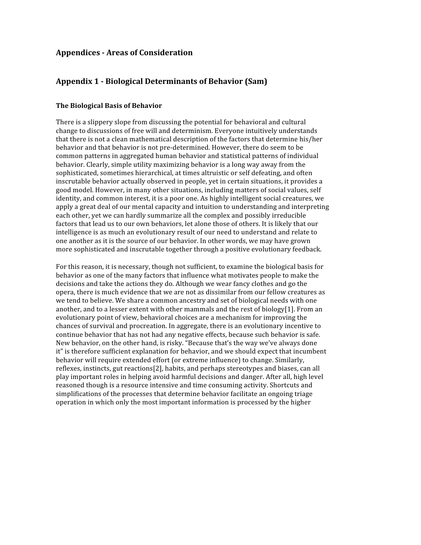### **Appendices Areas of Consideration**

### **Appendix 1 Biological Determinants of Behavior (Sam)**

#### **The Biological Basis of Behavior**

There is a slippery slope from discussing the potential for behavioral and cultural change to discussions of free will and determinism. Everyone intuitively understands that there is not a clean mathematical description of the factors that determine his/her behavior and that behavior is not pre‐determined. However, there do seem to be common patterns in aggregated human behavior and statistical patterns of individual behavior. Clearly, simple utility maximizing behavior is a long way away from the sophisticated, sometimes hierarchical, at times altruistic or self defeating, and often inscrutable behavior actually observed in people, yet in certain situations, it provides a good model. However, in many other situations, including matters of social values, self identity, and common interest, it is a poor one. As highly intelligent social creatures, we apply a great deal of our mental capacity and intuition to understanding and interpreting each other, yet we can hardly summarize all the complex and possibly irreducible factors that lead us to our own behaviors, let alone those of others. It is likely that our intelligence is as much an evolutionary result of our need to understand and relate to one another as it is the source of our behavior. In other words, we may have grown more sophisticated and inscrutable together through a positive evolutionary feedback.

For this reason, it is necessary, though not sufficient, to examine the biological basis for behavior as one of the many factors that influence what motivates people to make the decisions and take the actions they do. Although we wear fancy clothes and go the opera, there is much evidence that we are not as dissimilar from our fellow creatures as we tend to believe. We share a common ancestry and set of biological needs with one another, and to a lesser extent with other mammals and the rest of biology $[1]$ . From an evolutionary point of view, behavioral choices are a mechanism for improving the chances of survival and procreation. In aggregate, there is an evolutionary incentive to continue behavior that has not had any negative effects, because such behavior is safe. New behavior, on the other hand, is risky. "Because that's the way we've always done it" is therefore sufficient explanation for behavior, and we should expect that incumbent behavior will require extended effort (or extreme influence) to change. Similarly, reflexes, instincts, gut reactions[2], habits, and perhaps stereotypes and biases, can all play important roles in helping avoid harmful decisions and danger. After all, high level reasoned though is a resource intensive and time consuming activity. Shortcuts and simplifications of the processes that determine behavior facilitate an ongoing triage operation in which only the most important information is processed by the higher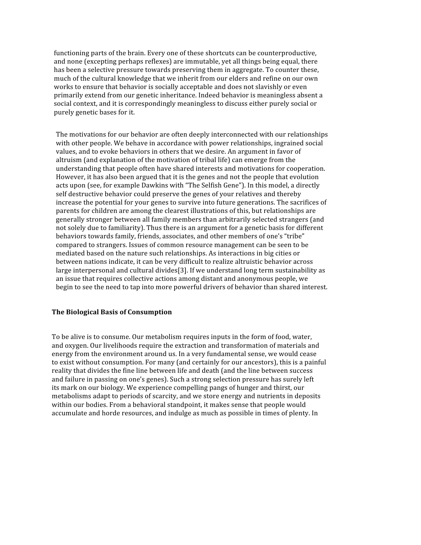functioning parts of the brain. Every one of these shortcuts can be counterproductive, and none (excepting perhaps reflexes) are immutable, yet all things being equal, there has been a selective pressure towards preserving them in aggregate. To counter these, much of the cultural knowledge that we inherit from our elders and refine on our own works to ensure that behavior is socially acceptable and does not slavishly or even primarily extend from our genetic inheritance. Indeed behavior is meaningless absent a social context, and it is correspondingly meaningless to discuss either purely social or purely genetic bases for it.

The motivations for our behavior are often deeply interconnected with our relationships with other people. We behave in accordance with power relationships, ingrained social values, and to evoke behaviors in others that we desire. An argument in favor of altruism (and explanation of the motivation of tribal life) can emerge from the understanding that people often have shared interests and motivations for cooperation. However, it has also been argued that it is the genes and not the people that evolution acts upon (see, for example Dawkins with "The Selfish Gene"). In this model, a directly self destructive behavior could preserve the genes of your relatives and thereby increase the potential for your genes to survive into future generations. The sacrifices of parents for children are among the clearest illustrations of this, but relationships are generally stronger between all family members than arbitrarily selected strangers (and not solely due to familiarity). Thus there is an argument for a genetic basis for different behaviors towards family, friends, associates, and other members of one's "tribe" compared to strangers. Issues of common resource management can be seen to be mediated based on the nature such relationships. As interactions in big cities or between nations indicate, it can be very difficult to realize altruistic behavior across large interpersonal and cultural divides[3]. If we understand long term sustainability as an issue that requires collective actions among distant and anonymous people, we begin to see the need to tap into more powerful drivers of behavior than shared interest.

#### **The Biological Basis of Consumption**

To be alive is to consume. Our metabolism requires inputs in the form of food, water, and oxygen. Our livelihoods require the extraction and transformation of materials and energy from the environment around us. In a very fundamental sense, we would cease to exist without consumption. For many (and certainly for our ancestors), this is a painful reality that divides the fine line between life and death (and the line between success and failure in passing on one's genes). Such a strong selection pressure has surely left its mark on our biology. We experience compelling pangs of hunger and thirst, our metabolisms adapt to periods of scarcity, and we store energy and nutrients in deposits within our bodies. From a behavioral standpoint, it makes sense that people would accumulate and horde resources, and indulge as much as possible in times of plenty. In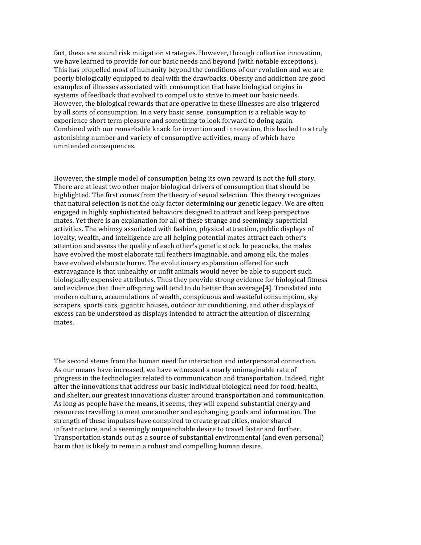fact, these are sound risk mitigation strategies. However, through collective innovation, we have learned to provide for our basic needs and beyond (with notable exceptions). This has propelled most of humanity beyond the conditions of our evolution and we are poorly biologically equipped to deal with the drawbacks. Obesity and addiction are good examples of illnesses associated with consumption that have biological origins in systems of feedback that evolved to compel us to strive to meet our basic needs. However, the biological rewards that are operative in these illnesses are also triggered by all sorts of consumption. In a very basic sense, consumption is a reliable way to experience short term pleasure and something to look forward to doing again. Combined with our remarkable knack for invention and innovation, this has led to a truly astonishing number and variety of consumptive activities, many of which have unintended consequences.

However, the simple model of consumption being its own reward is not the full story. There are at least two other major biological drivers of consumption that should be highlighted. The first comes from the theory of sexual selection. This theory recognizes that natural selection is not the only factor determining our genetic legacy. We are often engaged in highly sophisticated behaviors designed to attract and keep perspective mates. Yet there is an explanation for all of these strange and seemingly superficial activities. The whimsy associated with fashion, physical attraction, public displays of loyalty, wealth, and intelligence are all helping potential mates attract each other's attention and assess the quality of each other's genetic stock. In peacocks, the males have evolved the most elaborate tail feathers imaginable, and among elk, the males have evolved elaborate horns. The evolutionary explanation offered for such extravagance is that unhealthy or unfit animals would never be able to support such biologically expensive attributes. Thus they provide strong evidence for biological fitness and evidence that their offspring will tend to do better than average[4]. Translated into modern culture, accumulations of wealth, conspicuous and wasteful consumption, sky scrapers, sports cars, gigantic houses, outdoor air conditioning, and other displays of excess can be understood as displays intended to attract the attention of discerning mates.

The second stems from the human need for interaction and interpersonal connection. As our means have increased, we have witnessed a nearly unimaginable rate of progress in the technologies related to communication and transportation. Indeed, right after the innovations that address our basic individual biological need for food, health, and shelter, our greatest innovations cluster around transportation and communication. As long as people have the means, it seems, they will expend substantial energy and resources travelling to meet one another and exchanging goods and information. The strength of these impulses have conspired to create great cities, major shared infrastructure, and a seemingly unquenchable desire to travel faster and further. Transportation stands out as a source of substantial environmental (and even personal) harm that is likely to remain a robust and compelling human desire.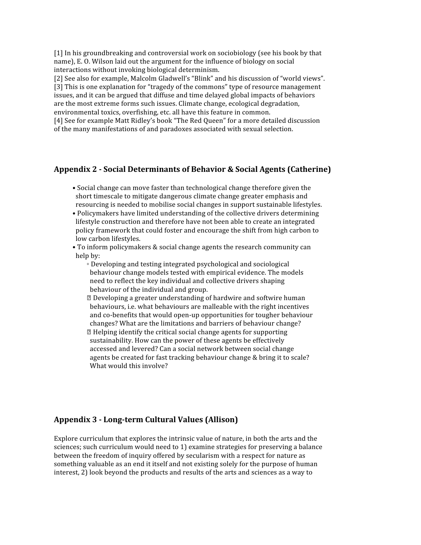[1] In his groundbreaking and controversial work on sociobiology (see his book by that name), E. O. Wilson laid out the argument for the influence of biology on social interactions without invoking biological determinism.

[2] See also for example, Malcolm Gladwell's "Blink" and his discussion of "world views". [3] This is one explanation for "tragedy of the commons" type of resource management

issues, and it can be argued that diffuse and time delayed global impacts of behaviors are the most extreme forms such issues. Climate change, ecological degradation, environmental toxics, overfishing, etc. all have this feature in common.

[4] See for example Matt Ridley's book "The Red Queen" for a more detailed discussion of the many manifestations of and paradoxes associated with sexual selection.

# **Appendix 2 Social Determinants of Behavior & Social Agents (Catherine)**

- Social change can move faster than technological change therefore given the short timescale to mitigate dangerous climate change greater emphasis and resourcing is needed to mobilise social changes in support sustainable lifestyles.
- Policymakers have limited understanding of the collective drivers determining lifestyle construction and therefore have not been able to create an integrated policy framework that could foster and encourage the shift from high carbon to low carbon lifestyles.
- To inform policymakers & social change agents the research community can help by:
	- Developing and testing integrated psychological and sociological behaviour change models tested with empirical evidence. The models need to reflect the key individual and collective drivers shaping behaviour of the individual and group.

 Developing a greater understanding of hardwire and softwire human behaviours, i.e. what behaviours are malleable with the right incentives and co-benefits that would open-up opportunities for tougher behaviour changes? What are the limitations and barriers of behaviour change? Helping identify the critical social change agents for supporting sustainability. How can the power of these agents be effectively accessed and levered? Can a social network between social change agents be created for fast tracking behaviour change & bring it to scale? What would this involve?

# Appendix 3 - Long-term Cultural Values (Allison)

Explore curriculum that explores the intrinsic value of nature, in both the arts and the sciences; such curriculum would need to 1) examine strategies for preserving a balance between the freedom of inquiry offered by secularism with a respect for nature as something valuable as an end it itself and not existing solely for the purpose of human interest, 2) look beyond the products and results of the arts and sciences as a way to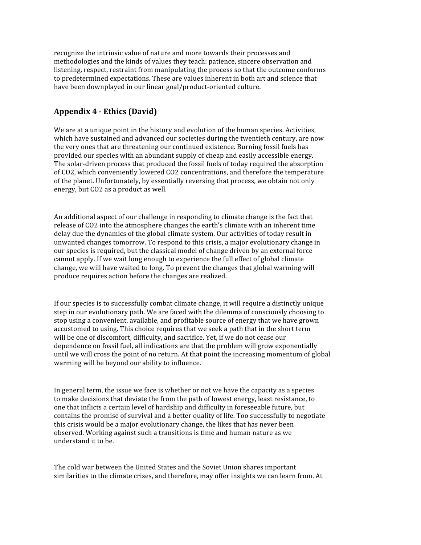recognize the intrinsic value of nature and more towards their processes and methodologies and the kinds of values they teach: patience, sincere observation and listening, respect, restraint from manipulating the process so that the outcome conforms to predetermined expectations. These are values inherent in both art and science that have been downplayed in our linear goal/product-oriented culture.

# **Appendix 4 Ethics (David)**

We are at a unique point in the history and evolution of the human species. Activities, which have sustained and advanced our societies during the twentieth century, are now the very ones that are threatening our continued existence. Burning fossil fuels has provided our species with an abundant supply of cheap and easily accessible energy. The solar-driven process that produced the fossil fuels of today required the absorption of CO2, which conveniently lowered CO2 concentrations, and therefore the temperature of the planet. Unfortunately, by essentially reversing that process, we obtain not only energy, but CO2 as a product as well.

An additional aspect of our challenge in responding to climate change is the fact that release of CO2 into the atmosphere changes the earth's climate with an inherent time delay due the dynamics of the global climate system. Our activities of today result in unwanted changes tomorrow. To respond to this crisis, a major evolutionary change in our species is required, but the classical model of change driven by an external force cannot apply. If we wait long enough to experience the full effect of global climate change, we will have waited to long. To prevent the changes that global warming will produce requires action before the changes are realized.

If our species is to successfully combat climate change, it will require a distinctly unique step in our evolutionary path. We are faced with the dilemma of consciously choosing to stop using a convenient, available, and profitable source of energy that we have grown accustomed to using. This choice requires that we seek a path that in the short term will be one of discomfort, difficulty, and sacrifice. Yet, if we do not cease our dependence on fossil fuel, all indications are that the problem will grow exponentially until we will cross the point of no return. At that point the increasing momentum of global warming will be beyond our ability to influence.

In general term, the issue we face is whether or not we have the capacity as a species to make decisions that deviate the from the path of lowest energy, least resistance, to one that inflicts a certain level of hardship and difficulty in foreseeable future, but contains the promise of survival and a better quality of life. Too successfully to negotiate this crisis would be a major evolutionary change, the likes that has never been observed. Working against such a transitions is time and human nature as we understand it to be.

The cold war between the United States and the Soviet Union shares important similarities to the climate crises, and therefore, may offer insights we can learn from. At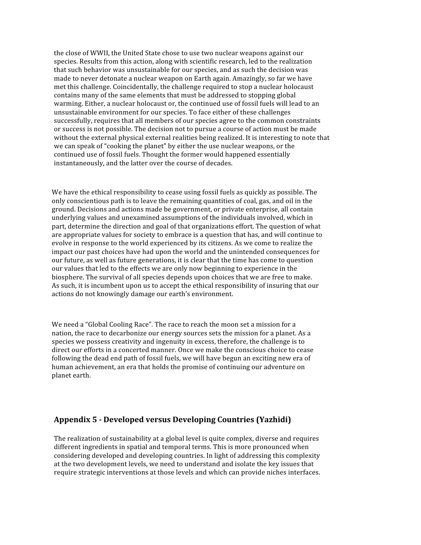the close of WWII, the United State chose to use two nuclear weapons against our species. Results from this action, along with scientific research, led to the realization that such behavior was unsustainable for our species, and as such the decision was made to never detonate a nuclear weapon on Earth again. Amazingly, so far we have met this challenge. Coincidentally, the challenge required to stop a nuclear holocaust contains many of the same elements that must be addressed to stopping global warming. Either, a nuclear holocaust or, the continued use of fossil fuels will lead to an unsustainable environment for our species. To face either of these challenges successfully, requires that all members of our species agree to the common constraints or success is not possible. The decision not to pursue a course of action must be made without the external physical external realities being realized. It is interesting to note that we can speak of "cooking the planet" by either the use nuclear weapons, or the continued use of fossil fuels. Thought the former would happened essentially instantaneously, and the latter over the course of decades.

We have the ethical responsibility to cease using fossil fuels as quickly as possible. The only conscientious path is to leave the remaining quantities of coal, gas, and oil in the ground. Decisions and actions made be government, or private enterprise, all contain underlying values and unexamined assumptions of the individuals involved, which in part, determine the direction and goal of that organizations effort. The question of what are appropriate values for society to embrace is a question that has, and will continue to evolve in response to the world experienced by its citizens. As we come to realize the impact our past choices have had upon the world and the unintended consequences for our future, as well as future generations, it is clear that the time has come to question our values that led to the effects we are only now beginning to experience in the biosphere. The survival of all species depends upon choices that we are free to make. As such, it is incumbent upon us to accept the ethical responsibility of insuring that our actions do not knowingly damage our earth's environment.

We need a "Global Cooling Race". The race to reach the moon set a mission for a nation, the race to decarbonize our energy sources sets the mission for a planet. As a species we possess creativity and ingenuity in excess, therefore, the challenge is to direct our efforts in a concerted manner. Once we make the conscious choice to cease following the dead end path of fossil fuels, we will have begun an exciting new era of human achievement, an era that holds the promise of continuing our adventure on planet earth.

### **Appendix 5 Developed versus Developing Countries (Yazhidi)**

The realization of sustainability at a global level is quite complex, diverse and requires different ingredients in spatial and temporal terms. This is more pronounced when considering developed and developing countries. In light of addressing this complexity at the two development levels, we need to understand and isolate the key issues that require strategic interventions at those levels and which can provide niches interfaces.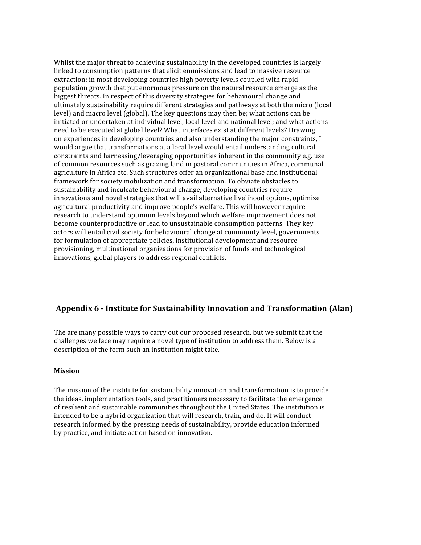Whilst the major threat to achieving sustainability in the developed countries is largely linked to consumption patterns that elicit emmissions and lead to massive resource extraction; in most developing countries high poverty levels coupled with rapid population growth that put enormous pressure on the natural resource emerge as the biggest threats. In respect of this diversity strategies for behavioural change and ultimately sustainability require different strategies and pathways at both the micro (local level) and macro level (global). The key questions may then be; what actions can be initiated or undertaken at individual level, local level and national level; and what actions need to be executed at global level? What interfaces exist at different levels? Drawing on experiences in developing countries and also understanding the major constraints, I would argue that transformations at a local level would entail understanding cultural constraints and harnessing/leveraging opportunities inherent in the community e.g. use of common resources such as grazing land in pastoral communities in Africa, communal agriculture in Africa etc. Such structures offer an organizational base and institutional framework for society mobilization and transformation. To obviate obstacles to sustainability and inculcate behavioural change, developing countries require innovations and novel strategies that will avail alternative livelihood options, optimize agricultural productivity and improve people's welfare. This will however require research to understand optimum levels beyond which welfare improvement does not become counterproductive or lead to unsustainable consumption patterns. They key actors will entail civil society for behavioural change at community level, governments for formulation of appropriate policies, institutional development and resource provisioning, multinational organizations for provision of funds and technological innovations, global players to address regional conflicts.

### **Appendix 6 Institute for Sustainability Innovation and Transformation (Alan)**

The are many possible ways to carry out our proposed research, but we submit that the challenges we face may require a novel type of institution to address them. Below is a description of the form such an institution might take.

#### **Mission**

The mission of the institute for sustainability innovation and transformation is to provide the ideas, implementation tools, and practitioners necessary to facilitate the emergence of resilient and sustainable communities throughout the United States. The institution is intended to be a hybrid organization that will research, train, and do. It will conduct research informed by the pressing needs of sustainability, provide education informed by practice, and initiate action based on innovation.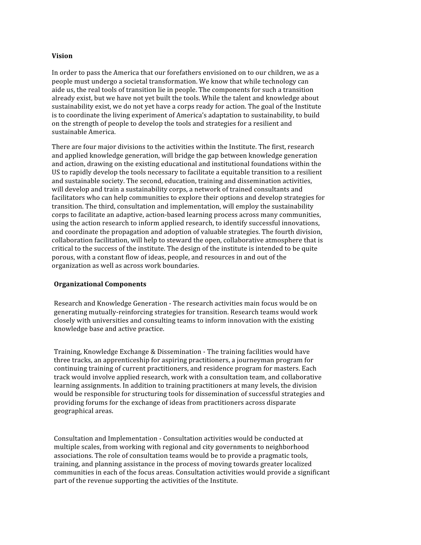#### **Vision**

In order to pass the America that our forefathers envisioned on to our children, we as a people must undergo a societal transformation. We know that while technology can aide us, the real tools of transition lie in people. The components for such a transition already exist, but we have not yet built the tools. While the talent and knowledge about sustainability exist, we do not yet have a corps ready for action. The goal of the Institute is to coordinate the living experiment of America's adaptation to sustainability, to build on the strength of people to develop the tools and strategies for a resilient and sustainable America.

There are four major divisions to the activities within the Institute. The first, research and applied knowledge generation, will bridge the gap between knowledge generation and action, drawing on the existing educational and institutional foundations within the US to rapidly develop the tools necessary to facilitate a equitable transition to a resilient and sustainable society. The second, education, training and dissemination activities, will develop and train a sustainability corps, a network of trained consultants and facilitators who can help communities to explore their options and develop strategies for transition. The third, consultation and implementation, will employ the sustainability corps to facilitate an adaptive, action‐based learning process across many communities, using the action research to inform applied research, to identify successful innovations, and coordinate the propagation and adoption of valuable strategies. The fourth division, collaboration facilitation, will help to steward the open, collaborative atmosphere that is critical to the success of the institute. The design of the institute is intended to be quite porous, with a constant flow of ideas, people, and resources in and out of the organization as well as across work boundaries.

#### **Organizational Components**

Research and Knowledge Generation ‐ The research activities main focus would be on generating mutually‐reinforcing strategies for transition. Research teams would work closely with universities and consulting teams to inform innovation with the existing knowledge base and active practice.

Training, Knowledge Exchange & Dissemination ‐ The training facilities would have three tracks, an apprenticeship for aspiring practitioners, a journeyman program for continuing training of current practitioners, and residence program for masters. Each track would involve applied research, work with a consultation team, and collaborative learning assignments. In addition to training practitioners at many levels, the division would be responsible for structuring tools for dissemination of successful strategies and providing forums for the exchange of ideas from practitioners across disparate geographical areas.

Consultation and Implementation ‐ Consultation activities would be conducted at multiple scales, from working with regional and city governments to neighborhood associations. The role of consultation teams would be to provide a pragmatic tools, training, and planning assistance in the process of moving towards greater localized communities in each of the focus areas. Consultation activities would provide a significant part of the revenue supporting the activities of the Institute.